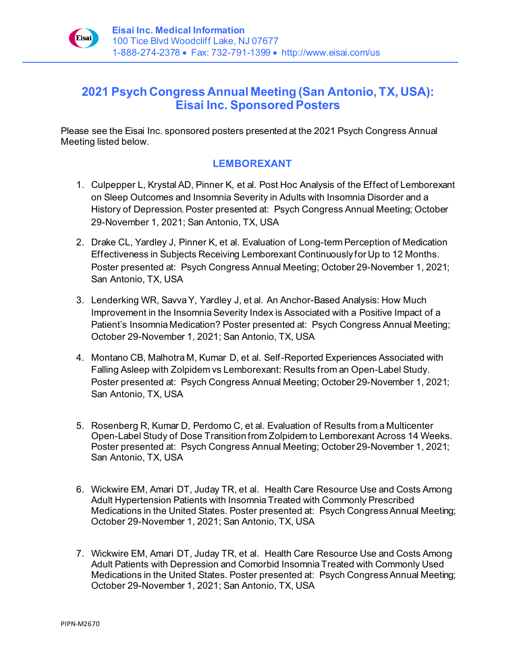

## **2021 Psych Congress Annual Meeting (San Antonio, TX, USA): Eisai Inc. Sponsored Posters**

Please see the Eisai Inc. sponsored posters presented at the 2021 Psych Congress Annual Meeting listed below.

## **LEMBOREXANT**

- 1. Culpepper L, Krystal AD, Pinner K, et al. Post Hoc Analysis of the Effect of Lemborexant on Sleep Outcomes and Insomnia Severity in Adults with Insomnia Disorder and a History of Depression. Poster presented at: Psych Congress Annual Meeting; October 29-November 1, 2021; San Antonio, TX, USA
- 2. Drake CL, Yardley J, Pinner K, et al. Evaluation of Long-term Perception of Medication Effectiveness in Subjects Receiving Lemborexant Continuously for Up to 12 Months. Poster presented at: Psych Congress Annual Meeting; October 29-November 1, 2021; San Antonio, TX, USA
- 3. Lenderking WR, SavvaY, Yardley J, et al. An Anchor-Based Analysis: How Much Improvement in the Insomnia Severity Index is Associated with a Positive Impact of a Patient's Insomnia Medication? Poster presented at: Psych Congress Annual Meeting; October 29-November 1, 2021; San Antonio, TX, USA
- 4. Montano CB, Malhotra M, Kumar D, et al. Self-Reported Experiences Associated with Falling Asleep with Zolpidem vs Lemborexant: Results from an Open-Label Study. Poster presented at: Psych Congress Annual Meeting; October 29-November 1, 2021; San Antonio, TX, USA
- 5. Rosenberg R, Kumar D, Perdomo C, et al. Evaluation of Results from a Multicenter Open-Label Study of Dose Transition from Zolpidem to Lemborexant Across 14 Weeks. Poster presented at: Psych Congress Annual Meeting; October 29-November 1, 2021; San Antonio, TX, USA
- 6. Wickwire EM, Amari DT, Juday TR, et al. Health Care Resource Use and Costs Among Adult Hypertension Patients with Insomnia Treated with Commonly Prescribed Medications in the United States. Poster presented at: Psych Congress Annual Meeting; October 29-November 1, 2021; San Antonio, TX, USA
- 7. Wickwire EM, Amari DT, Juday TR, et al. Health Care Resource Use and Costs Among Adult Patients with Depression and Comorbid Insomnia Treated with Commonly Used Medications in the United States. Poster presented at: Psych Congress Annual Meeting; October 29-November 1, 2021; San Antonio, TX, USA